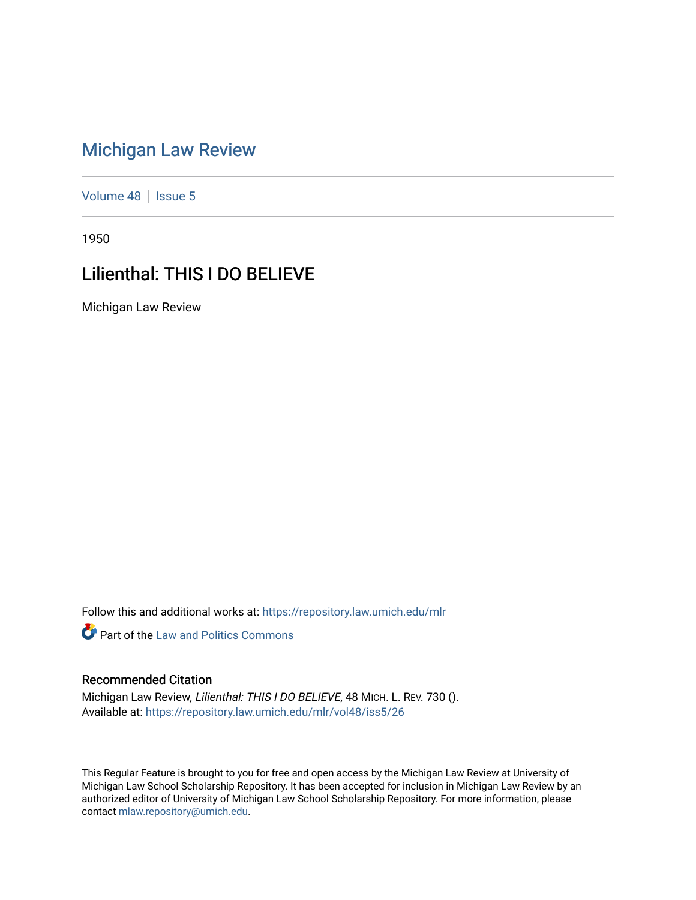## [Michigan Law Review](https://repository.law.umich.edu/mlr)

[Volume 48](https://repository.law.umich.edu/mlr/vol48) | [Issue 5](https://repository.law.umich.edu/mlr/vol48/iss5)

1950

## Lilienthal: THIS I DO BELIEVE

Michigan Law Review

Follow this and additional works at: [https://repository.law.umich.edu/mlr](https://repository.law.umich.edu/mlr?utm_source=repository.law.umich.edu%2Fmlr%2Fvol48%2Fiss5%2F26&utm_medium=PDF&utm_campaign=PDFCoverPages) 

**Part of the Law and Politics Commons** 

## Recommended Citation

Michigan Law Review, Lilienthal: THIS I DO BELIEVE, 48 MICH. L. REV. 730 (). Available at: [https://repository.law.umich.edu/mlr/vol48/iss5/26](https://repository.law.umich.edu/mlr/vol48/iss5/26?utm_source=repository.law.umich.edu%2Fmlr%2Fvol48%2Fiss5%2F26&utm_medium=PDF&utm_campaign=PDFCoverPages) 

This Regular Feature is brought to you for free and open access by the Michigan Law Review at University of Michigan Law School Scholarship Repository. It has been accepted for inclusion in Michigan Law Review by an authorized editor of University of Michigan Law School Scholarship Repository. For more information, please contact [mlaw.repository@umich.edu](mailto:mlaw.repository@umich.edu).